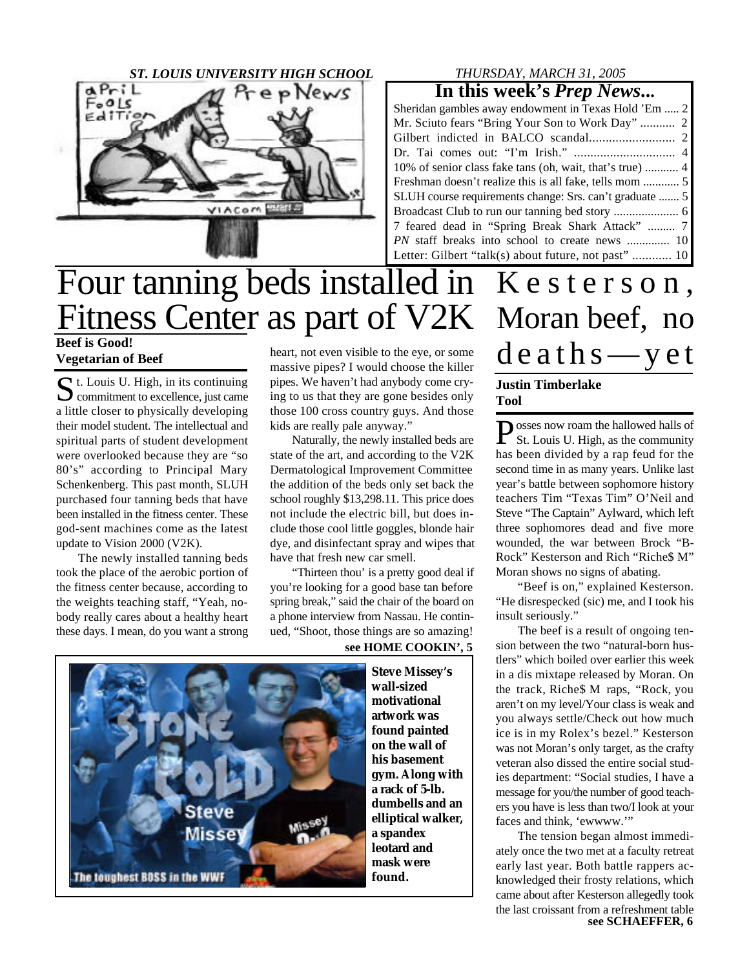

#### *THURSDAY, MARCH 31, 2005*

#### **In this week's** *Prep News***...**

| Sheridan gambles away endowment in Texas Hold 'Em  2    |
|---------------------------------------------------------|
| Mr. Sciuto fears "Bring Your Son to Work Day"  2        |
|                                                         |
|                                                         |
|                                                         |
|                                                         |
| SLUH course requirements change: Srs. can't graduate  5 |
|                                                         |
| 7 feared dead in "Spring Break Shark Attack"  7         |
| PN staff breaks into school to create news  10          |
| Letter: Gilbert "talk(s) about future, not past"  10    |

## **Beef is Good!** Four tanning beds installed in Kesterson, Fitness Center as part of V2K Moran beef, no

**Vegetarian of Beef**

St. Louis U. High, in its continuing<br>
Sommitment to excellence, just came  $\sum$  commitment to excellence, just came a little closer to physically developing their model student. The intellectual and spiritual parts of student development were overlooked because they are "so 80's" according to Principal Mary Schenkenberg. This past month, SLUH purchased four tanning beds that have been installed in the fitness center. These god-sent machines come as the latest update to Vision 2000 (V2K).

The newly installed tanning beds took the place of the aerobic portion of the fitness center because, according to the weights teaching staff, "Yeah, nobody really cares about a healthy heart these days. I mean, do you want a strong heart, not even visible to the eye, or some massive pipes? I would choose the killer pipes. We haven't had anybody come crying to us that they are gone besides only those 100 cross country guys. And those kids are really pale anyway."

Naturally, the newly installed beds are state of the art, and according to the V2K Dermatological Improvement Committee the addition of the beds only set back the school roughly \$13,298.11. This price does not include the electric bill, but does include those cool little goggles, blonde hair dye, and disinfectant spray and wipes that have that fresh new car smell.

"Thirteen thou' is a pretty good deal if you're looking for a good base tan before spring break," said the chair of the board on a phone interview from Nassau. He continued, "Shoot, those things are so amazing!

#### **see HOME COOKIN', 5**



**Steve Missey's wall-sized motivational artwork was found painted on the wall of his basement gym. Along with a rack of 5-lb. dumbells and an elliptical walker, a spandex leotard and mask were found.**

# $d$  e a th s — y e t

#### **Justin Timberlake Tool**

**P** osses now roam the hallowed halls of<br>St. Louis U. High, as the community St. Louis U. High, as the community has been divided by a rap feud for the second time in as many years. Unlike last year's battle between sophomore history teachers Tim "Texas Tim" O'Neil and Steve "The Captain" Aylward, which left three sophomores dead and five more wounded, the war between Brock "B-Rock" Kesterson and Rich "Riche\$ M" Moran shows no signs of abating.

"Beef is on," explained Kesterson. "He disrespecked (sic) me, and I took his insult seriously."

The beef is a result of ongoing tension between the two "natural-born hustlers" which boiled over earlier this week in a dis mixtape released by Moran. On the track, Riche\$ M raps, "Rock, you aren't on my level/Your class is weak and you always settle/Check out how much ice is in my Rolex's bezel." Kesterson was not Moran's only target, as the crafty veteran also dissed the entire social studies department: "Social studies, I have a message for you/the number of good teachers you have is less than two/I look at your faces and think, 'ewwww.'"

**see SCHAEFFER, 6** The tension began almost immediately once the two met at a faculty retreat early last year. Both battle rappers acknowledged their frosty relations, which came about after Kesterson allegedly took the last croissant from a refreshment table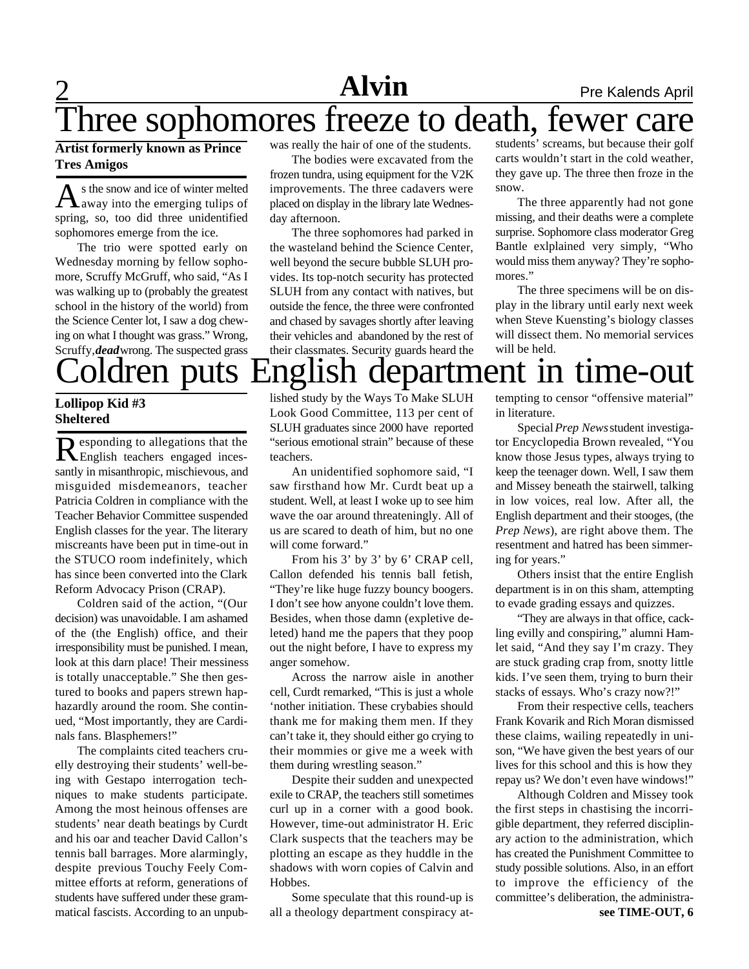# 2 **Alvin News** Pre Kalends April

# Three sophomores freeze to death, fewer care

#### **Artist formerly known as Prince Tres Amigos**

As the snow and ice of winter melted<br>away into the emerging tulips of s the snow and ice of winter melted spring, so, too did three unidentified sophomores emerge from the ice.

The trio were spotted early on Wednesday morning by fellow sophomore, Scruffy McGruff, who said, "As I was walking up to (probably the greatest school in the history of the world) from the Science Center lot, I saw a dog chewing on what I thought was grass." Wrong, Scruffy, *dead*wrong. The suspected grass was really the hair of one of the students.

The bodies were excavated from the frozen tundra, using equipment for the V2K improvements. The three cadavers were placed on display in the library late Wednesday afternoon.

The three sophomores had parked in the wasteland behind the Science Center, well beyond the secure bubble SLUH provides. Its top-notch security has protected SLUH from any contact with natives, but outside the fence, the three were confronted and chased by savages shortly after leaving their vehicles and abandoned by the rest of their classmates. Security guards heard the

students' screams, but because their golf carts wouldn't start in the cold weather, they gave up. The three then froze in the snow.

The three apparently had not gone missing, and their deaths were a complete surprise. Sophomore class moderator Greg Bantle exlplained very simply, "Who would miss them anyway? They're sophomores."

The three specimens will be on display in the library until early next week when Steve Kuensting's biology classes will dissect them. No memorial services will be held.

# Coldren puts English department in time-out

#### **Lollipop Kid #3 Sheltered**

Responding to allegations that the English teachers engaged incesesponding to allegations that the santly in misanthropic, mischievous, and misguided misdemeanors, teacher Patricia Coldren in compliance with the Teacher Behavior Committee suspended English classes for the year. The literary miscreants have been put in time-out in the STUCO room indefinitely, which has since been converted into the Clark Reform Advocacy Prison (CRAP).

Coldren said of the action, "(Our decision) was unavoidable. I am ashamed of the (the English) office, and their irresponsibility must be punished. I mean, look at this darn place! Their messiness is totally unacceptable." She then gestured to books and papers strewn haphazardly around the room. She continued, "Most importantly, they are Cardinals fans. Blasphemers!"

The complaints cited teachers cruelly destroying their students' well-being with Gestapo interrogation techniques to make students participate. Among the most heinous offenses are students' near death beatings by Curdt and his oar and teacher David Callon's tennis ball barrages. More alarmingly, despite previous Touchy Feely Committee efforts at reform, generations of students have suffered under these grammatical fascists. According to an unpublished study by the Ways To Make SLUH Look Good Committee, 113 per cent of SLUH graduates since 2000 have reported "serious emotional strain" because of these teachers.

An unidentified sophomore said, "I saw firsthand how Mr. Curdt beat up a student. Well, at least I woke up to see him wave the oar around threateningly. All of us are scared to death of him, but no one will come forward."

From his 3' by 3' by 6' CRAP cell, Callon defended his tennis ball fetish, "They're like huge fuzzy bouncy boogers. I don't see how anyone couldn't love them. Besides, when those damn (expletive deleted) hand me the papers that they poop out the night before, I have to express my anger somehow.

Across the narrow aisle in another cell, Curdt remarked, "This is just a whole 'nother initiation. These crybabies should thank me for making them men. If they can't take it, they should either go crying to their mommies or give me a week with them during wrestling season."

Despite their sudden and unexpected exile to CRAP, the teachers still sometimes curl up in a corner with a good book. However, time-out administrator H. Eric Clark suspects that the teachers may be plotting an escape as they huddle in the shadows with worn copies of Calvin and Hobbes.

Some speculate that this round-up is all a theology department conspiracy at-

tempting to censor "offensive material" in literature.

Special *Prep News* student investigator Encyclopedia Brown revealed, "You know those Jesus types, always trying to keep the teenager down. Well, I saw them and Missey beneath the stairwell, talking in low voices, real low. After all, the English department and their stooges, (the *Prep News*), are right above them. The resentment and hatred has been simmering for years."

Others insist that the entire English department is in on this sham, attempting to evade grading essays and quizzes.

"They are always in that office, cackling evilly and conspiring," alumni Hamlet said, "And they say I'm crazy. They are stuck grading crap from, snotty little kids. I've seen them, trying to burn their stacks of essays. Who's crazy now?!"

From their respective cells, teachers Frank Kovarik and Rich Moran dismissed these claims, wailing repeatedly in unison, "We have given the best years of our lives for this school and this is how they repay us? We don't even have windows!"

Although Coldren and Missey took the first steps in chastising the incorrigible department, they referred disciplinary action to the administration, which has created the Punishment Committee to study possible solutions. Also, in an effort to improve the efficiency of the committee's deliberation, the administra**see TIME-OUT, 6**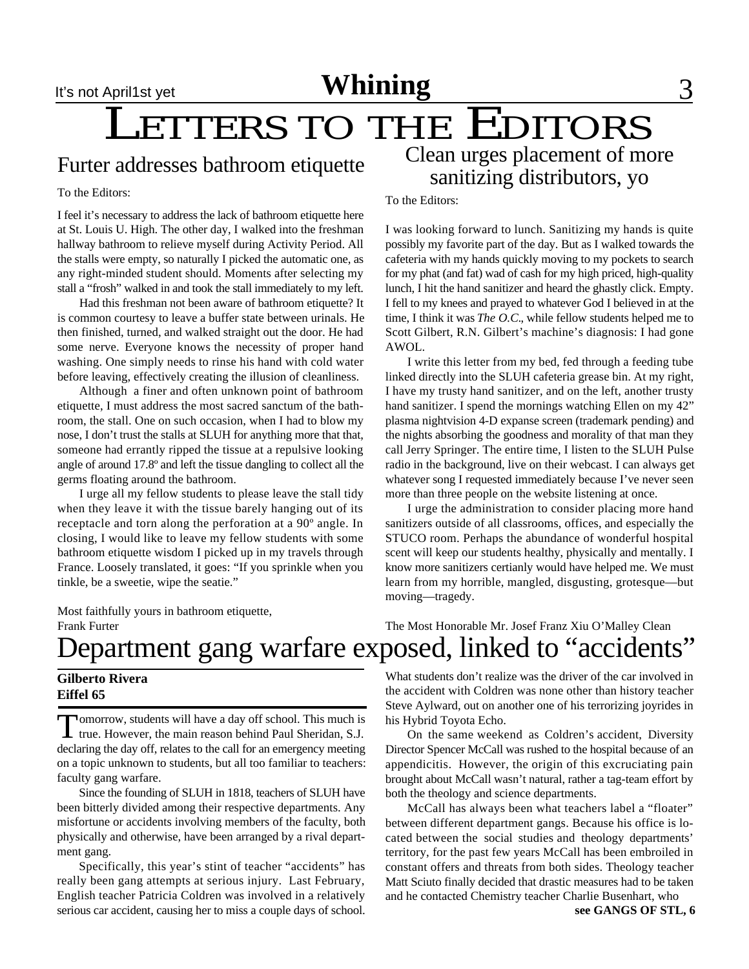## LETTERS TO THE EDITORS Clean urges placement of more

### Furter addresses bathroom etiquette

To the Editors:

I feel it's necessary to address the lack of bathroom etiquette here at St. Louis U. High. The other day, I walked into the freshman hallway bathroom to relieve myself during Activity Period. All the stalls were empty, so naturally I picked the automatic one, as any right-minded student should. Moments after selecting my stall a "frosh" walked in and took the stall immediately to my left.

Had this freshman not been aware of bathroom etiquette? It is common courtesy to leave a buffer state between urinals. He then finished, turned, and walked straight out the door. He had some nerve. Everyone knows the necessity of proper hand washing. One simply needs to rinse his hand with cold water before leaving, effectively creating the illusion of cleanliness.

Although a finer and often unknown point of bathroom etiquette, I must address the most sacred sanctum of the bathroom, the stall. One on such occasion, when I had to blow my nose, I don't trust the stalls at SLUH for anything more that that, someone had errantly ripped the tissue at a repulsive looking angle of around 17.8º and left the tissue dangling to collect all the germs floating around the bathroom.

I urge all my fellow students to please leave the stall tidy when they leave it with the tissue barely hanging out of its receptacle and torn along the perforation at a 90º angle. In closing, I would like to leave my fellow students with some bathroom etiquette wisdom I picked up in my travels through France. Loosely translated, it goes: "If you sprinkle when you tinkle, be a sweetie, wipe the seatie."

Most faithfully yours in bathroom etiquette, Frank Furter

To the Editors:

I was looking forward to lunch. Sanitizing my hands is quite possibly my favorite part of the day. But as I walked towards the cafeteria with my hands quickly moving to my pockets to search for my phat (and fat) wad of cash for my high priced, high-quality lunch, I hit the hand sanitizer and heard the ghastly click. Empty. I fell to my knees and prayed to whatever God I believed in at the time, I think it was *The O.C.*, while fellow students helped me to Scott Gilbert, R.N. Gilbert's machine's diagnosis: I had gone AWOL.

sanitizing distributors, yo

I write this letter from my bed, fed through a feeding tube linked directly into the SLUH cafeteria grease bin. At my right, I have my trusty hand sanitizer, and on the left, another trusty hand sanitizer. I spend the mornings watching Ellen on my 42" plasma nightvision 4-D expanse screen (trademark pending) and the nights absorbing the goodness and morality of that man they call Jerry Springer. The entire time, I listen to the SLUH Pulse radio in the background, live on their webcast. I can always get whatever song I requested immediately because I've never seen more than three people on the website listening at once.

I urge the administration to consider placing more hand sanitizers outside of all classrooms, offices, and especially the STUCO room. Perhaps the abundance of wonderful hospital scent will keep our students healthy, physically and mentally. I know more sanitizers certianly would have helped me. We must learn from my horrible, mangled, disgusting, grotesque—but moving—tragedy.

The Most Honorable Mr. Josef Franz Xiu O'Malley Clean

# epartment gang warfare exposed, linked to "accidents"

#### **Gilberto Rivera Eiffel 65**

Tomorrow, students will have a day off school. This much is true. However, the main reason behind Paul Sheridan, S.J. omorrow, students will have a day off school. This much is declaring the day off, relates to the call for an emergency meeting on a topic unknown to students, but all too familiar to teachers: faculty gang warfare.

Since the founding of SLUH in 1818, teachers of SLUH have been bitterly divided among their respective departments. Any misfortune or accidents involving members of the faculty, both physically and otherwise, have been arranged by a rival department gang.

Specifically, this year's stint of teacher "accidents" has really been gang attempts at serious injury. Last February, English teacher Patricia Coldren was involved in a relatively serious car accident, causing her to miss a couple days of school.

What students don't realize was the driver of the car involved in the accident with Coldren was none other than history teacher Steve Aylward, out on another one of his terrorizing joyrides in his Hybrid Toyota Echo.

On the same weekend as Coldren's accident, Diversity Director Spencer McCall was rushed to the hospital because of an appendicitis. However, the origin of this excruciating pain brought about McCall wasn't natural, rather a tag-team effort by both the theology and science departments.

McCall has always been what teachers label a "floater" between different department gangs. Because his office is located between the social studies and theology departments' territory, for the past few years McCall has been embroiled in constant offers and threats from both sides. Theology teacher Matt Sciuto finally decided that drastic measures had to be taken and he contacted Chemistry teacher Charlie Busenhart, who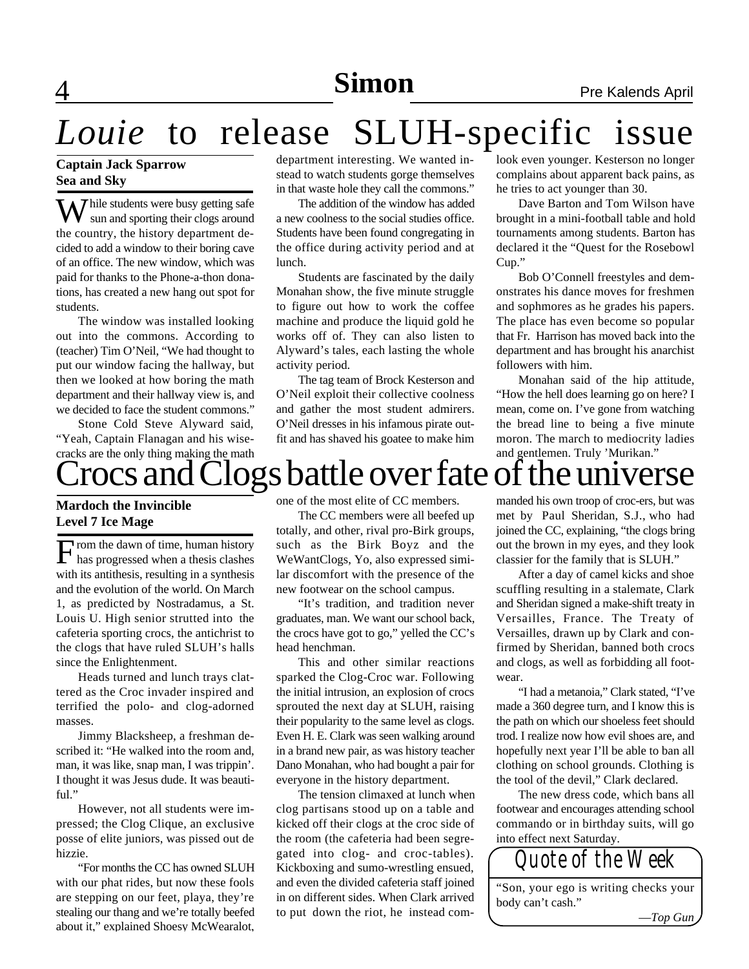# *Louie* to release SLUH-specific issue

#### **Captain Jack Sparrow Sea and Sky**

**Y** hile students were busy getting safe sun and sporting their clogs around the country, the history department decided to add a window to their boring cave of an office. The new window, which was paid for thanks to the Phone-a-thon donations, has created a new hang out spot for students.

The window was installed looking out into the commons. According to (teacher) Tim O'Neil, "We had thought to put our window facing the hallway, but then we looked at how boring the math department and their hallway view is, and we decided to face the student commons."

Stone Cold Steve Alyward said, "Yeah, Captain Flanagan and his wisecracks are the only thing making the math Crocs and Clogs battle over fate of the universe

#### **Mardoch the Invincible Level 7 Ice Mage**

F has progressed when a thesis clashes rom the dawn of time, human history with its antithesis, resulting in a synthesis and the evolution of the world. On March 1, as predicted by Nostradamus, a St. Louis U. High senior strutted into the cafeteria sporting crocs, the antichrist to the clogs that have ruled SLUH's halls since the Enlightenment.

Heads turned and lunch trays clattered as the Croc invader inspired and terrified the polo- and clog-adorned masses.

Jimmy Blacksheep, a freshman described it: "He walked into the room and, man, it was like, snap man, I was trippin'. I thought it was Jesus dude. It was beautiful."

However, not all students were impressed; the Clog Clique, an exclusive posse of elite juniors, was pissed out de hizzie.

"For months the CC has owned SLUH with our phat rides, but now these fools are stepping on our feet, playa, they're stealing our thang and we're totally beefed about it," explained Shoesy McWearalot,

department interesting. We wanted instead to watch students gorge themselves in that waste hole they call the commons."

The addition of the window has added a new coolness to the social studies office. Students have been found congregating in the office during activity period and at lunch.

Students are fascinated by the daily Monahan show, the five minute struggle to figure out how to work the coffee machine and produce the liquid gold he works off of. They can also listen to Alyward's tales, each lasting the whole activity period.

The tag team of Brock Kesterson and O'Neil exploit their collective coolness and gather the most student admirers. O'Neil dresses in his infamous pirate outfit and has shaved his goatee to make him

look even younger. Kesterson no longer complains about apparent back pains, as he tries to act younger than 30.

Dave Barton and Tom Wilson have brought in a mini-football table and hold tournaments among students. Barton has declared it the "Quest for the Rosebowl Cup."

Bob O'Connell freestyles and demonstrates his dance moves for freshmen and sophmores as he grades his papers. The place has even become so popular that Fr. Harrison has moved back into the department and has brought his anarchist followers with him.

Monahan said of the hip attitude, "How the hell does learning go on here? I mean, come on. I've gone from watching the bread line to being a five minute moron. The march to mediocrity ladies and gentlemen. Truly 'Murikan."

one of the most elite of CC members.

The CC members were all beefed up totally, and other, rival pro-Birk groups, such as the Birk Boyz and the WeWantClogs, Yo, also expressed similar discomfort with the presence of the new footwear on the school campus.

"It's tradition, and tradition never graduates, man. We want our school back, the crocs have got to go," yelled the CC's head henchman.

This and other similar reactions sparked the Clog-Croc war. Following the initial intrusion, an explosion of crocs sprouted the next day at SLUH, raising their popularity to the same level as clogs. Even H. E. Clark was seen walking around in a brand new pair, as was history teacher Dano Monahan, who had bought a pair for everyone in the history department.

The tension climaxed at lunch when clog partisans stood up on a table and kicked off their clogs at the croc side of the room (the cafeteria had been segregated into clog- and croc-tables). Kickboxing and sumo-wrestling ensued, and even the divided cafeteria staff joined in on different sides. When Clark arrived to put down the riot, he instead commanded his own troop of croc-ers, but was met by Paul Sheridan, S.J., who had joined the CC, explaining, "the clogs bring out the brown in my eyes, and they look classier for the family that is SLUH."

After a day of camel kicks and shoe scuffling resulting in a stalemate, Clark and Sheridan signed a make-shift treaty in Versailles, France. The Treaty of Versailles, drawn up by Clark and confirmed by Sheridan, banned both crocs and clogs, as well as forbidding all footwear.

"I had a metanoia," Clark stated, "I've made a 360 degree turn, and I know this is the path on which our shoeless feet should trod. I realize now how evil shoes are, and hopefully next year I'll be able to ban all clothing on school grounds. Clothing is the tool of the devil," Clark declared.

The new dress code, which bans all footwear and encourages attending school commando or in birthday suits, will go into effect next Saturday.



body can't cash."

—*Top Gun*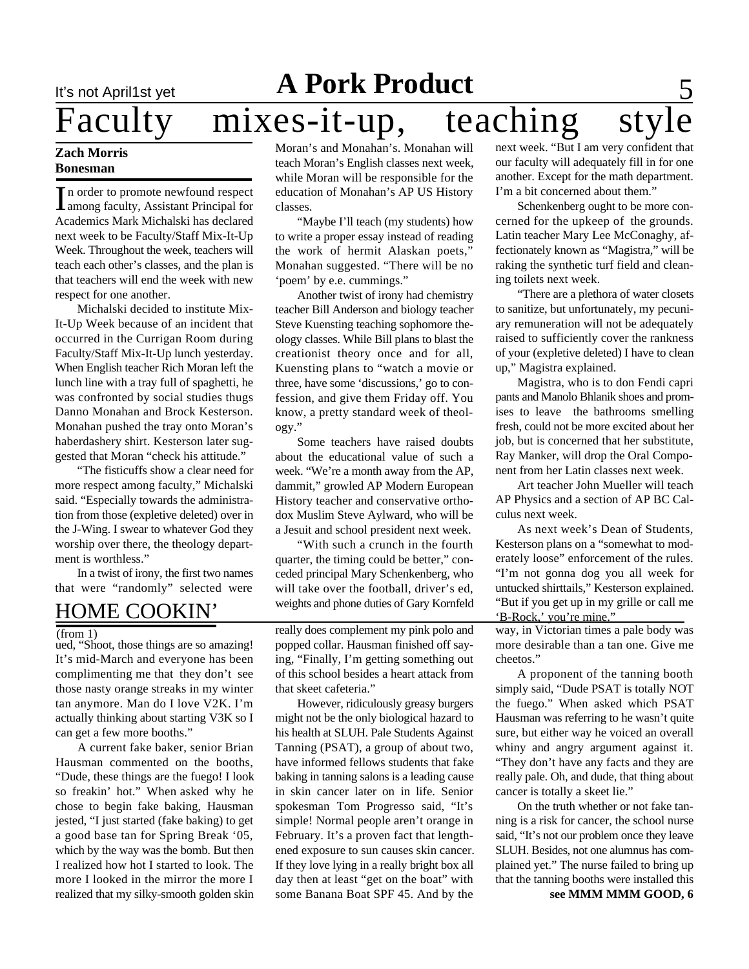# It's not April1st yet **A Pork Product** 5<br>
Faculty mixes-it-up, teaching style mixes-it-up,

#### **Zach Morris Bonesman**

In order to promote newfound respect<br>Among faculty, Assistant Principal for<br>Academics Mark Michalski has declared n order to promote newfound respect among faculty, Assistant Principal for next week to be Faculty/Staff Mix-It-Up Week. Throughout the week, teachers will teach each other's classes, and the plan is that teachers will end the week with new respect for one another.

Michalski decided to institute Mix-It-Up Week because of an incident that occurred in the Currigan Room during Faculty/Staff Mix-It-Up lunch yesterday. When English teacher Rich Moran left the lunch line with a tray full of spaghetti, he was confronted by social studies thugs Danno Monahan and Brock Kesterson. Monahan pushed the tray onto Moran's haberdashery shirt. Kesterson later suggested that Moran "check his attitude."

"The fisticuffs show a clear need for more respect among faculty," Michalski said. "Especially towards the administration from those (expletive deleted) over in the J-Wing. I swear to whatever God they worship over there, the theology department is worthless."

In a twist of irony, the first two names that were "randomly" selected were

## HOME COOKIN'

 $(from 1)$ 

ued, "Shoot, those things are so amazing! It's mid-March and everyone has been complimenting me that they don't see those nasty orange streaks in my winter tan anymore. Man do I love V2K. I'm actually thinking about starting V3K so I can get a few more booths."

A current fake baker, senior Brian Hausman commented on the booths, "Dude, these things are the fuego! I look so freakin' hot." When asked why he chose to begin fake baking, Hausman jested, "I just started (fake baking) to get a good base tan for Spring Break '05, which by the way was the bomb. But then I realized how hot I started to look. The more I looked in the mirror the more I realized that my silky-smooth golden skin Moran's and Monahan's. Monahan will teach Moran's English classes next week, while Moran will be responsible for the education of Monahan's AP US History classes.

"Maybe I'll teach (my students) how to write a proper essay instead of reading the work of hermit Alaskan poets," Monahan suggested. "There will be no 'poem' by e.e. cummings."

Another twist of irony had chemistry teacher Bill Anderson and biology teacher Steve Kuensting teaching sophomore theology classes. While Bill plans to blast the creationist theory once and for all, Kuensting plans to "watch a movie or three, have some 'discussions,' go to confession, and give them Friday off. You know, a pretty standard week of theology."

Some teachers have raised doubts about the educational value of such a week. "We're a month away from the AP, dammit," growled AP Modern European History teacher and conservative orthodox Muslim Steve Aylward, who will be a Jesuit and school president next week.

"With such a crunch in the fourth quarter, the timing could be better," conceded principal Mary Schenkenberg, who will take over the football, driver's ed, weights and phone duties of Gary Kornfeld

really does complement my pink polo and popped collar. Hausman finished off saying, "Finally, I'm getting something out of this school besides a heart attack from that skeet cafeteria."

However, ridiculously greasy burgers might not be the only biological hazard to his health at SLUH. Pale Students Against Tanning (PSAT), a group of about two, have informed fellows students that fake baking in tanning salons is a leading cause in skin cancer later on in life. Senior spokesman Tom Progresso said, "It's simple! Normal people aren't orange in February. It's a proven fact that lengthened exposure to sun causes skin cancer. If they love lying in a really bright box all day then at least "get on the boat" with some Banana Boat SPF 45. And by the

next week. "But I am very confident that our faculty will adequately fill in for one another. Except for the math department. I'm a bit concerned about them."

Schenkenberg ought to be more concerned for the upkeep of the grounds. Latin teacher Mary Lee McConaghy, affectionately known as "Magistra," will be raking the synthetic turf field and cleaning toilets next week.

"There are a plethora of water closets to sanitize, but unfortunately, my pecuniary remuneration will not be adequately raised to sufficiently cover the rankness of your (expletive deleted) I have to clean up," Magistra explained.

Magistra, who is to don Fendi capri pants and Manolo Bhlanik shoes and promises to leave the bathrooms smelling fresh, could not be more excited about her job, but is concerned that her substitute, Ray Manker, will drop the Oral Component from her Latin classes next week.

Art teacher John Mueller will teach AP Physics and a section of AP BC Calculus next week.

As next week's Dean of Students, Kesterson plans on a "somewhat to moderately loose" enforcement of the rules. "I'm not gonna dog you all week for untucked shirttails," Kesterson explained. "But if you get up in my grille or call me 'B-Rock,' you're mine."

way, in Victorian times a pale body was more desirable than a tan one. Give me cheetos."

A proponent of the tanning booth simply said, "Dude PSAT is totally NOT the fuego." When asked which PSAT Hausman was referring to he wasn't quite sure, but either way he voiced an overall whiny and angry argument against it. "They don't have any facts and they are really pale. Oh, and dude, that thing about cancer is totally a skeet lie."

On the truth whether or not fake tanning is a risk for cancer, the school nurse said, "It's not our problem once they leave SLUH. Besides, not one alumnus has complained yet." The nurse failed to bring up that the tanning booths were installed this

**see MMM MMM GOOD, 6**